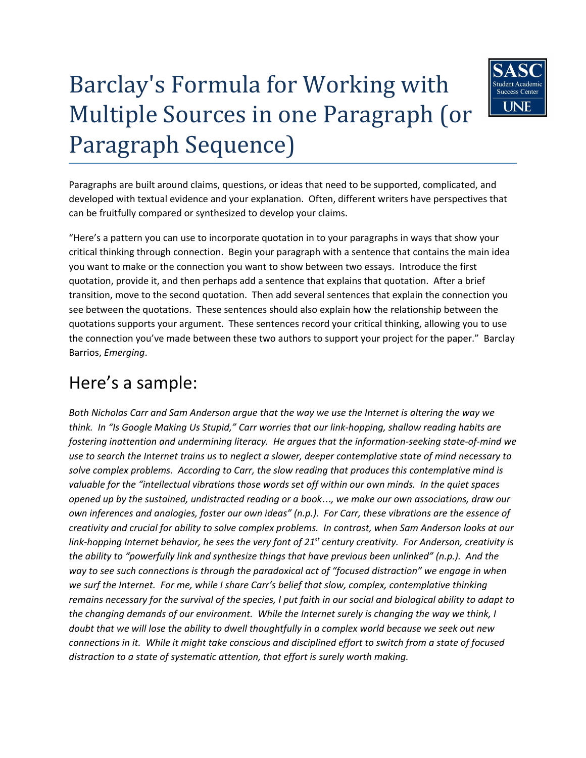# Barclay's Formula for Working with Multiple Sources in one Paragraph (or Paragraph Sequence)



Paragraphs are built around claims, questions, or ideas that need to be supported, complicated, and developed with textual evidence and your explanation. Often, different writers have perspectives that can be fruitfully compared or synthesized to develop your claims.

"Here's a pattern you can use to incorporate quotation in to your paragraphs in ways that show your critical thinking through connection. Begin your paragraph with a sentence that contains the main idea you want to make or the connection you want to show between two essays. Introduce the first quotation, provide it, and then perhaps add a sentence that explains that quotation. After a brief transition, move to the second quotation. Then add several sentences that explain the connection you see between the quotations. These sentences should also explain how the relationship between the quotations supports your argument. These sentences record your critical thinking, allowing you to use the connection you've made between these two authors to support your project for the paper." Barclay Barrios, *Emerging*.

## Here's a sample:

Both Nicholas Carr and Sam Anderson argue that the way we use the Internet is altering the way we *think. In "Is Google Making Us Stupid," Carr worries that our link-hopping, shallow reading habits are fostering inattention and undermining literacy. He argues that the information-seeking state-of-mind we* use to search the Internet trains us to neglect a slower, deeper contemplative state of mind necessary to *solve complex problems. According to Carr, the slow reading that produces this contemplative mind is valuable for the "intellectual vibrations those words set off within our own minds. In the quiet spaces* opened up by the sustained, undistracted reading or a book..., we make our own associations, draw our *own inferences and analogies, foster our own ideas" (n.p.). For Carr, these vibrations are the essence of creativity and crucial for ability to solve complex problems. In contrast, when Sam Anderson looks at our* link-hopping Internet behavior, he sees the very font of 21<sup>st</sup> century creativity. For Anderson, creativity is *the ability to "powerfully link and synthesize things that have previous been unlinked" (n.p.). And the way to see such connections is through the paradoxical act of "focused distraction" we engage in when we surf the Internet. For me, while I share Carr's belief that slow, complex, contemplative thinking* remains necessary for the survival of the species, I put faith in our social and biological ability to adapt to *the changing demands of our environment. While the Internet surely is changing the way we think, I* doubt that we will lose the ability to dwell thoughtfully in a complex world because we seek out new connections in it. While it might take conscious and disciplined effort to switch from a state of focused *distraction to a state of systematic attention, that effort is surely worth making.*